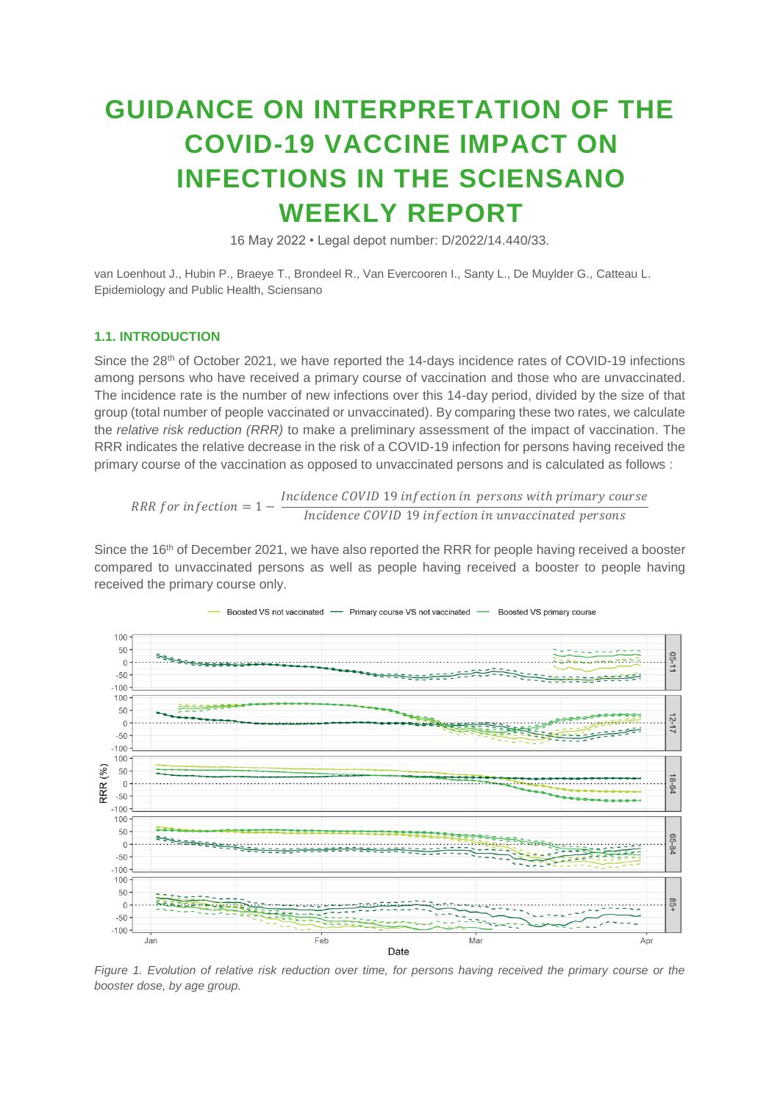# **GUIDANCE ON INTERPRETATION OF THE COVID-19 VACCINE IMPACT ON INFECTIONS IN THE SCIENSANO WEEKLY REPORT**

16 May 2022 • Legal depot number: D/2022/14.440/33.

van Loenhout J., Hubin P., Braeye T., Brondeel R., Van Evercooren I., Santy L., De Muylder G., Catteau L. Epidemiology and Public Health, Sciensano

# **1.1. INTRODUCTION**

Since the 28<sup>th</sup> of October 2021, we have reported the 14-days incidence rates of COVID-19 infections among persons who have received a primary course of vaccination and those who are unvaccinated. The incidence rate is the number of new infections over this 14-day period, divided by the size of that group (total number of people vaccinated or unvaccinated). By comparing these two rates, we calculate the *relative risk reduction (RRR)* to make a preliminary assessment of the impact of vaccination. The RRR indicates the relative decrease in the risk of a COVID-19 infection for persons having received the primary course of the vaccination as opposed to unvaccinated persons and is calculated as follows :

RRR for infection =  $1 - \frac{Incidence \ COVID \ 19 \ infection \ in \ persons \ with \ primary \ course.}$ Incidence COVID 19 infection in unvaccinated persons

Since the 16<sup>th</sup> of December 2021, we have also reported the RRR for people having received a booster compared to unvaccinated persons as well as people having received a booster to people having received the primary course only.



*Figure 1. Evolution of relative risk reduction over time, for persons having received the primary course or the booster dose, by age group.*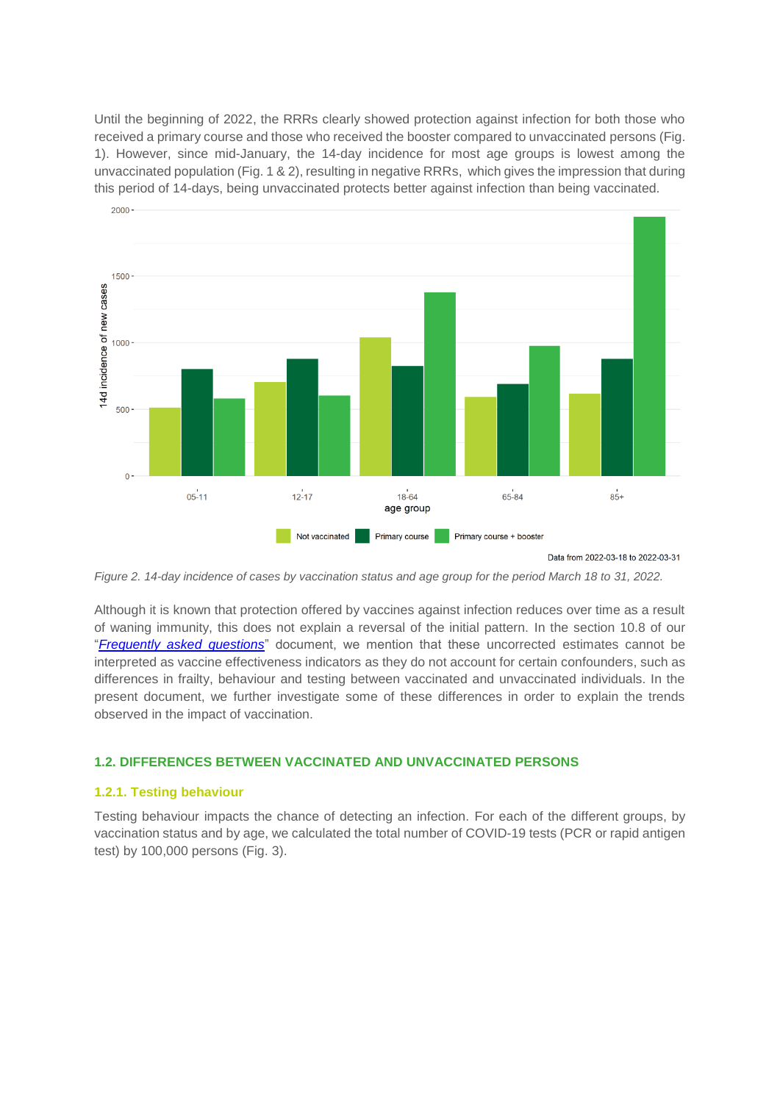Until the beginning of 2022, the RRRs clearly showed protection against infection for both those who received a primary course and those who received the booster compared to unvaccinated persons (Fig. 1). However, since mid-January, the 14-day incidence for most age groups is lowest among the unvaccinated population (Fig. 1 & 2), resulting in negative RRRs, which gives the impression that during this period of 14-days, being unvaccinated protects better against infection than being vaccinated.



Data from 2022-03-18 to 2022-03-31

*Figure 2. 14-day incidence of cases by vaccination status and age group for the period March 18 to 31, 2022.*

Although it is known that protection offered by vaccines against infection reduces over time as a result of waning immunity, this does not explain a reversal of the initial pattern. In the section 10.8 of our "*[Frequently asked questions](https://covid-19.sciensano.be/sites/default/files/Covid19/COVID-19_FAQ_ENG_final.pdf)*" document, we mention that these uncorrected estimates cannot be interpreted as vaccine effectiveness indicators as they do not account for certain confounders, such as differences in frailty, behaviour and testing between vaccinated and unvaccinated individuals. In the present document, we further investigate some of these differences in order to explain the trends observed in the impact of vaccination.

### **1.2. DIFFERENCES BETWEEN VACCINATED AND UNVACCINATED PERSONS**

#### **1.2.1. Testing behaviour**

Testing behaviour impacts the chance of detecting an infection. For each of the different groups, by vaccination status and by age, we calculated the total number of COVID-19 tests (PCR or rapid antigen test) by 100,000 persons (Fig. 3).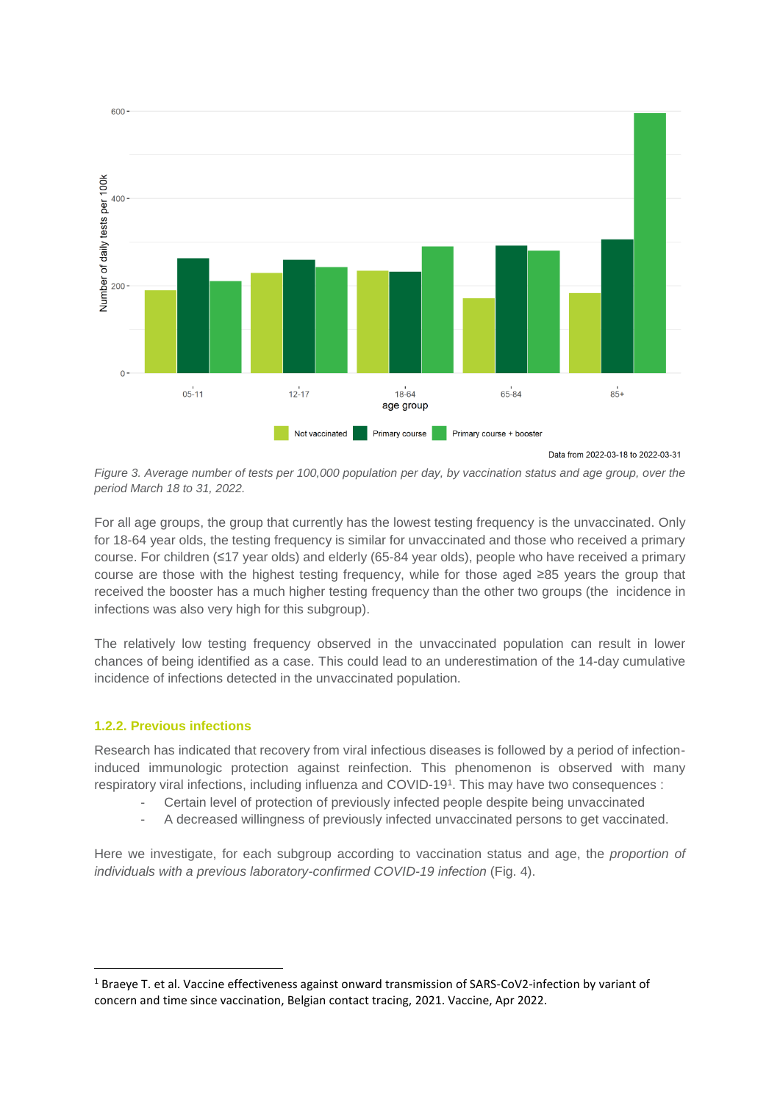

*Figure 3. Average number of tests per 100,000 population per day, by vaccination status and age group, over the period March 18 to 31, 2022.*

For all age groups, the group that currently has the lowest testing frequency is the unvaccinated. Only for 18-64 year olds, the testing frequency is similar for unvaccinated and those who received a primary course. For children (≤17 year olds) and elderly (65-84 year olds), people who have received a primary course are those with the highest testing frequency, while for those aged ≥85 years the group that received the booster has a much higher testing frequency than the other two groups (the incidence in infections was also very high for this subgroup).

The relatively low testing frequency observed in the unvaccinated population can result in lower chances of being identified as a case. This could lead to an underestimation of the 14-day cumulative incidence of infections detected in the unvaccinated population.

# **1.2.2. Previous infections**

1

Research has indicated that recovery from viral infectious diseases is followed by a period of infectioninduced immunologic protection against reinfection. This phenomenon is observed with many respiratory viral infections, including influenza and COVID-19<sup>1</sup> . This may have two consequences :

- Certain level of protection of previously infected people despite being unvaccinated
- A decreased willingness of previously infected unvaccinated persons to get vaccinated.

Here we investigate, for each subgroup according to vaccination status and age, the *proportion of individuals with a previous laboratory-confirmed COVID-19 infection* (Fig. 4).

 $1$  Braeye T. et al. Vaccine effectiveness against onward transmission of SARS-CoV2-infection by variant of concern and time since vaccination, Belgian contact tracing, 2021. Vaccine, Apr 2022.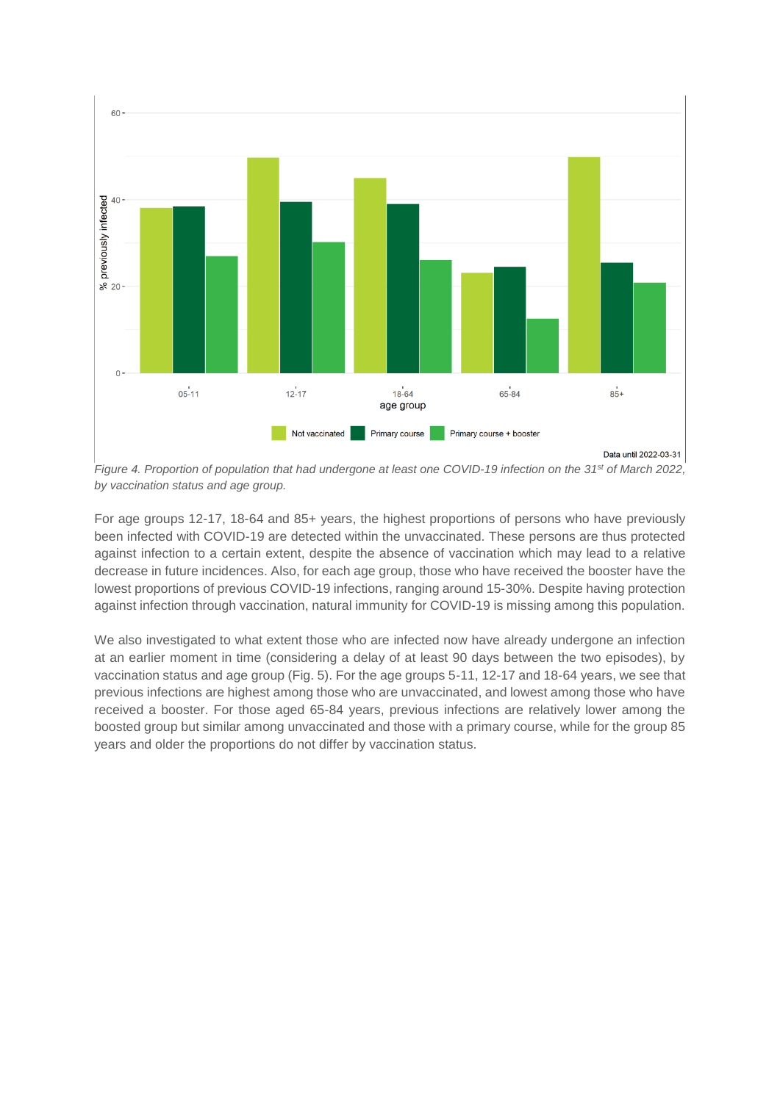

*Figure 4. Proportion of population that had undergone at least one COVID-19 infection on the 31st of March 2022, by vaccination status and age group.*

For age groups 12-17, 18-64 and 85+ years, the highest proportions of persons who have previously been infected with COVID-19 are detected within the unvaccinated. These persons are thus protected against infection to a certain extent, despite the absence of vaccination which may lead to a relative decrease in future incidences. Also, for each age group, those who have received the booster have the lowest proportions of previous COVID-19 infections, ranging around 15-30%. Despite having protection against infection through vaccination, natural immunity for COVID-19 is missing among this population.

We also investigated to what extent those who are infected now have already undergone an infection at an earlier moment in time (considering a delay of at least 90 days between the two episodes), by vaccination status and age group (Fig. 5). For the age groups 5-11, 12-17 and 18-64 years, we see that previous infections are highest among those who are unvaccinated, and lowest among those who have received a booster. For those aged 65-84 years, previous infections are relatively lower among the boosted group but similar among unvaccinated and those with a primary course, while for the group 85 years and older the proportions do not differ by vaccination status.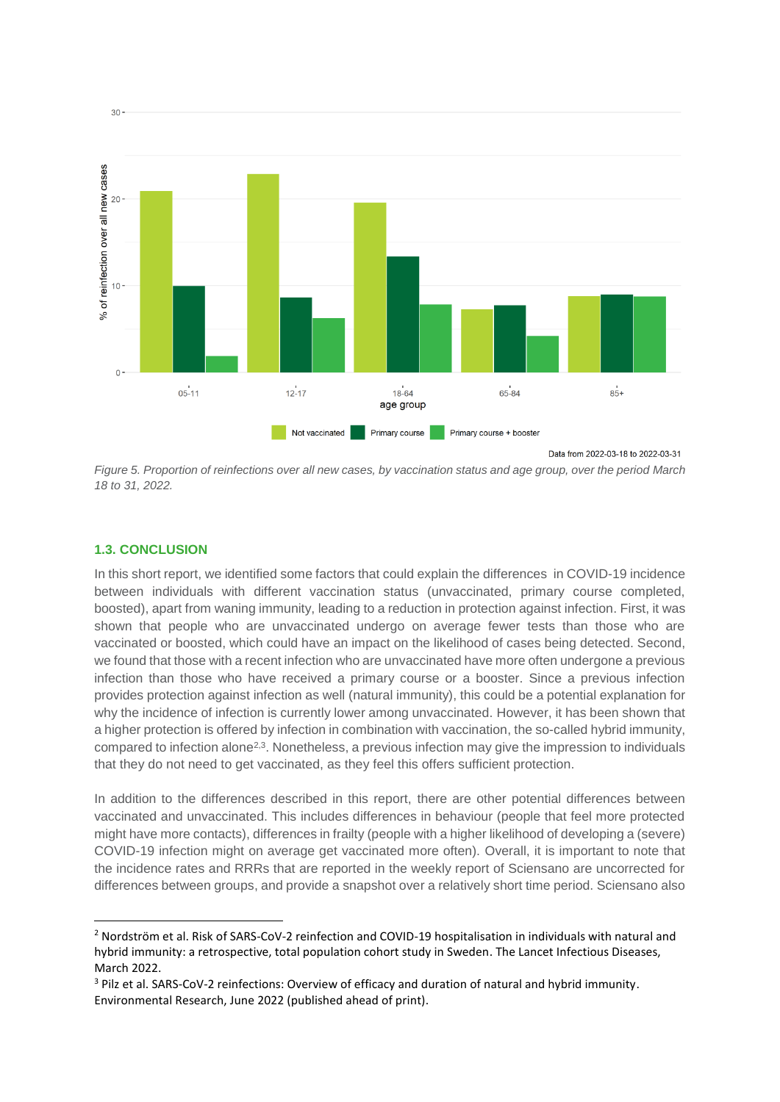

*Figure 5. Proportion of reinfections over all new cases, by vaccination status and age group, over the period March 18 to 31, 2022.*

## **1.3. CONCLUSION**

**.** 

In this short report, we identified some factors that could explain the differences in COVID-19 incidence between individuals with different vaccination status (unvaccinated, primary course completed, boosted), apart from waning immunity, leading to a reduction in protection against infection. First, it was shown that people who are unvaccinated undergo on average fewer tests than those who are vaccinated or boosted, which could have an impact on the likelihood of cases being detected. Second, we found that those with a recent infection who are unvaccinated have more often undergone a previous infection than those who have received a primary course or a booster. Since a previous infection provides protection against infection as well (natural immunity), this could be a potential explanation for why the incidence of infection is currently lower among unvaccinated. However, it has been shown that a higher protection is offered by infection in combination with vaccination, the so-called hybrid immunity, compared to infection alone<sup>2,3</sup>. Nonetheless, a previous infection may give the impression to individuals that they do not need to get vaccinated, as they feel this offers sufficient protection.

In addition to the differences described in this report, there are other potential differences between vaccinated and unvaccinated. This includes differences in behaviour (people that feel more protected might have more contacts), differences in frailty (people with a higher likelihood of developing a (severe) COVID-19 infection might on average get vaccinated more often). Overall, it is important to note that the incidence rates and RRRs that are reported in the weekly report of Sciensano are uncorrected for differences between groups, and provide a snapshot over a relatively short time period. Sciensano also

<sup>2</sup> Nordström et al. Risk of SARS-CoV-2 reinfection and COVID-19 hospitalisation in individuals with natural and hybrid immunity: a retrospective, total population cohort study in Sweden. The Lancet Infectious Diseases, March 2022.

<sup>3</sup> Pilz et al. SARS-CoV-2 reinfections: Overview of efficacy and duration of natural and hybrid immunity. Environmental Research, June 2022 (published ahead of print).